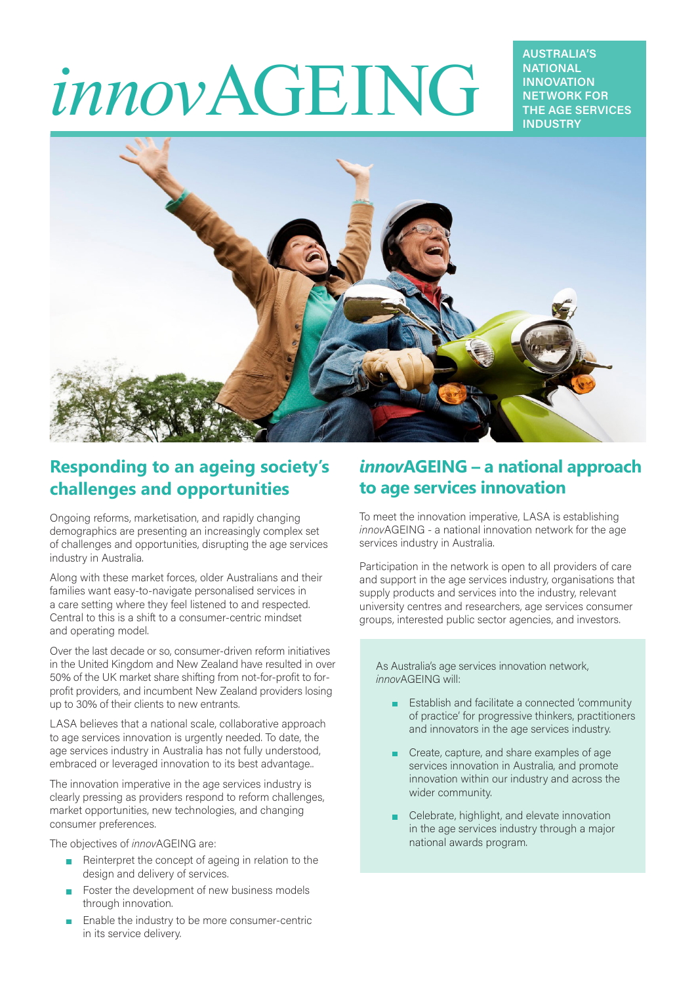# *innov*AGEING

**AUSTRALIA'S NATIONAL INNOVATION NETWORK FOR THE AGE SERVICES INDUSTRY**



## **Responding to an ageing society's challenges and opportunities**

Ongoing reforms, marketisation, and rapidly changing demographics are presenting an increasingly complex set of challenges and opportunities, disrupting the age services industry in Australia.

Along with these market forces, older Australians and their families want easy-to-navigate personalised services in a care setting where they feel listened to and respected. Central to this is a shift to a consumer-centric mindset and operating model.

Over the last decade or so, consumer-driven reform initiatives in the United Kingdom and New Zealand have resulted in over 50% of the UK market share shifting from not-for-profit to forprofit providers, and incumbent New Zealand providers losing up to 30% of their clients to new entrants.

LASA believes that a national scale, collaborative approach to age services innovation is urgently needed. To date, the age services industry in Australia has not fully understood, embraced or leveraged innovation to its best advantage..

The innovation imperative in the age services industry is clearly pressing as providers respond to reform challenges, market opportunities, new technologies, and changing consumer preferences.

The objectives of *innov*AGEING are:

- $\blacksquare$  Reinterpret the concept of ageing in relation to the design and delivery of services.
- Foster the development of new business models through innovation.
- Enable the industry to be more consumer-centric in its service delivery.

## *innov***AGEING – a national approach to age services innovation**

To meet the innovation imperative, LASA is establishing *innov*AGEING - a national innovation network for the age services industry in Australia.

Participation in the network is open to all providers of care and support in the age services industry, organisations that supply products and services into the industry, relevant university centres and researchers, age services consumer groups, interested public sector agencies, and investors.

As Australia's age services innovation network, *innov*AGEING will:

- **Establish and facilitate a connected 'community** of practice' for progressive thinkers, practitioners and innovators in the age services industry.
- **Create, capture, and share examples of age** services innovation in Australia, and promote innovation within our industry and across the wider community.
- Celebrate, highlight, and elevate innovation in the age services industry through a major national awards program.